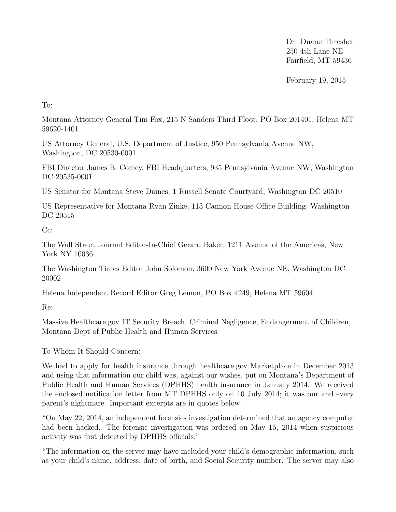Dr. Duane Thresher 250 4th Lane NE Fairfield, MT 59436

February 19, 2015

To:

Montana Attorney General Tim Fox, 215 N Sanders Third Floor, PO Box 201401, Helena MT 59620-1401

US Attorney General, U.S. Department of Justice, 950 Pennsylvania Avenue NW, Washington, DC 20530-0001

FBI Director James B. Comey, FBI Headquarters, 935 Pennsylvania Avenue NW, Washington DC 20535-0001

US Senator for Montana Steve Daines, 1 Russell Senate Courtyard, Washington DC 20510

US Representative for Montana Ryan Zinke, 113 Cannon House Office Building, Washington DC 20515

Cc:

The Wall Street Journal Editor-In-Chief Gerard Baker, 1211 Avenue of the Americas, New York NY 10036

The Washington Times Editor John Solomon, 3600 New York Avenue NE, Washington DC 20002

Helena Independent Record Editor Greg Lemon, PO Box 4249, Helena MT 59604

Re:

Massive Healthcare.gov IT Security Breach, Criminal Negligence, Endangerment of Children, Montana Dept of Public Health and Human Services

To Whom It Should Concern:

We had to apply for health insurance through healthcare.gov Marketplace in December 2013 and using that information our child was, against our wishes, put on Montana's Department of Public Health and Human Services (DPHHS) health insurance in January 2014. We received the enclosed notification letter from MT DPHHS only on 10 July 2014; it was our and every parent's nightmare. Important excerpts are in quotes below.

"On May 22, 2014, an independent forensics investigation determined that an agency computer had been hacked. The forensic investigation was ordered on May 15, 2014 when suspicious activity was first detected by DPHHS officials."

"The information on the server may have included your child's demographic information, such as your child's name, address, date of birth, and Social Security number. The server may also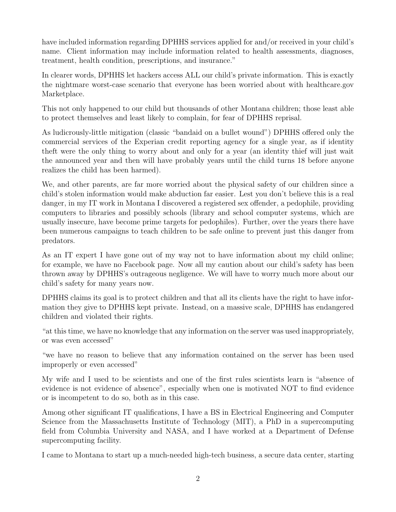have included information regarding DPHHS services applied for and/or received in your child's name. Client information may include information related to health assessments, diagnoses, treatment, health condition, prescriptions, and insurance."

In clearer words, DPHHS let hackers access ALL our child's private information. This is exactly the nightmare worst-case scenario that everyone has been worried about with healthcare.gov Marketplace.

This not only happened to our child but thousands of other Montana children; those least able to protect themselves and least likely to complain, for fear of DPHHS reprisal.

As ludicrously-little mitigation (classic "bandaid on a bullet wound") DPHHS offered only the commercial services of the Experian credit reporting agency for a single year, as if identity theft were the only thing to worry about and only for a year (an identity thief will just wait the announced year and then will have probably years until the child turns 18 before anyone realizes the child has been harmed).

We, and other parents, are far more worried about the physical safety of our children since a child's stolen information would make abduction far easier. Lest you don't believe this is a real danger, in my IT work in Montana I discovered a registered sex offender, a pedophile, providing computers to libraries and possibly schools (library and school computer systems, which are usually insecure, have become prime targets for pedophiles). Further, over the years there have been numerous campaigns to teach children to be safe online to prevent just this danger from predators.

As an IT expert I have gone out of my way not to have information about my child online; for example, we have no Facebook page. Now all my caution about our child's safety has been thrown away by DPHHS's outrageous negligence. We will have to worry much more about our child's safety for many years now.

DPHHS claims its goal is to protect children and that all its clients have the right to have information they give to DPHHS kept private. Instead, on a massive scale, DPHHS has endangered children and violated their rights.

"at this time, we have no knowledge that any information on the server was used inappropriately, or was even accessed"

"we have no reason to believe that any information contained on the server has been used improperly or even accessed"

My wife and I used to be scientists and one of the first rules scientists learn is "absence of evidence is not evidence of absence", especially when one is motivated NOT to find evidence or is incompetent to do so, both as in this case.

Among other significant IT qualifications, I have a BS in Electrical Engineering and Computer Science from the Massachusetts Institute of Technology (MIT), a PhD in a supercomputing field from Columbia University and NASA, and I have worked at a Department of Defense supercomputing facility.

I came to Montana to start up a much-needed high-tech business, a secure data center, starting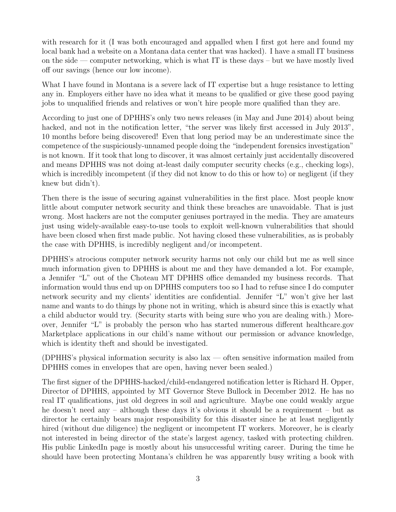with research for it (I was both encouraged and appalled when I first got here and found my local bank had a website on a Montana data center that was hacked). I have a small IT business on the side — computer networking, which is what IT is these days – but we have mostly lived off our savings (hence our low income).

What I have found in Montana is a severe lack of IT expertise but a huge resistance to letting any in. Employers either have no idea what it means to be qualified or give these good paying jobs to unqualified friends and relatives or won't hire people more qualified than they are.

According to just one of DPHHS's only two news releases (in May and June 2014) about being hacked, and not in the notification letter, "the server was likely first accessed in July 2013", 10 months before being discovered! Even that long period may be an underestimate since the competence of the suspiciously-unnamed people doing the "independent forensics investigation" is not known. If it took that long to discover, it was almost certainly just accidentally discovered and means DPHHS was not doing at-least daily computer security checks (e.g., checking logs), which is incredibly incompetent (if they did not know to do this or how to) or negligent (if they knew but didn't).

Then there is the issue of securing against vulnerabilities in the first place. Most people know little about computer network security and think these breaches are unavoidable. That is just wrong. Most hackers are not the computer geniuses portrayed in the media. They are amateurs just using widely-available easy-to-use tools to exploit well-known vulnerabilities that should have been closed when first made public. Not having closed these vulnerabilities, as is probably the case with DPHHS, is incredibly negligent and/or incompetent.

DPHHS's atrocious computer network security harms not only our child but me as well since much information given to DPHHS is about me and they have demanded a lot. For example, a Jennifer "L" out of the Choteau MT DPHHS office demanded my business records. That information would thus end up on DPHHS computers too so I had to refuse since I do computer network security and my clients' identities are confidential. Jennifer "L" won't give her last name and wants to do things by phone not in writing, which is absurd since this is exactly what a child abductor would try. (Security starts with being sure who you are dealing with.) Moreover, Jennifer "L" is probably the person who has started numerous different healthcare.gov Marketplace applications in our child's name without our permission or advance knowledge, which is identity theft and should be investigated.

(DPHHS's physical information security is also lax — often sensitive information mailed from DPHHS comes in envelopes that are open, having never been sealed.)

The first signer of the DPHHS-hacked/child-endangered notification letter is Richard H. Opper, Director of DPHHS, appointed by MT Governor Steve Bullock in December 2012. He has no real IT qualifications, just old degrees in soil and agriculture. Maybe one could weakly argue he doesn't need any – although these days it's obvious it should be a requirement – but as director he certainly bears major responsibility for this disaster since he at least negligently hired (without due diligence) the negligent or incompetent IT workers. Moreover, he is clearly not interested in being director of the state's largest agency, tasked with protecting children. His public LinkedIn page is mostly about his unsuccessful writing career. During the time he should have been protecting Montana's children he was apparently busy writing a book with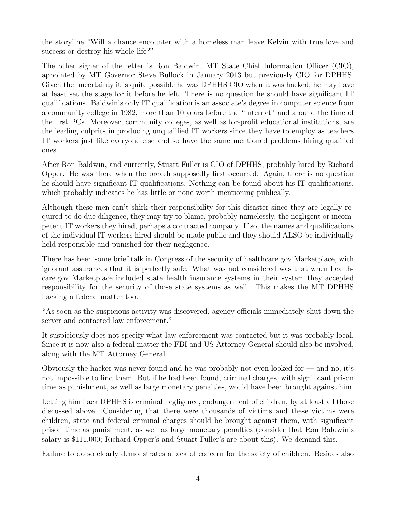the storyline "Will a chance encounter with a homeless man leave Kelvin with true love and success or destroy his whole life?"

The other signer of the letter is Ron Baldwin, MT State Chief Information Officer (CIO), appointed by MT Governor Steve Bullock in January 2013 but previously CIO for DPHHS. Given the uncertainty it is quite possible he was DPHHS CIO when it was hacked; he may have at least set the stage for it before he left. There is no question he should have significant IT qualifications. Baldwin's only IT qualification is an associate's degree in computer science from a community college in 1982, more than 10 years before the "Internet" and around the time of the first PCs. Moreover, community colleges, as well as for-profit educational institutions, are the leading culprits in producing unqualified IT workers since they have to employ as teachers IT workers just like everyone else and so have the same mentioned problems hiring qualified ones.

After Ron Baldwin, and currently, Stuart Fuller is CIO of DPHHS, probably hired by Richard Opper. He was there when the breach supposedly first occurred. Again, there is no question he should have significant IT qualifications. Nothing can be found about his IT qualifications, which probably indicates he has little or none worth mentioning publically.

Although these men can't shirk their responsibility for this disaster since they are legally required to do due diligence, they may try to blame, probably namelessly, the negligent or incompetent IT workers they hired, perhaps a contracted company. If so, the names and qualifications of the individual IT workers hired should be made public and they should ALSO be individually held responsible and punished for their negligence.

There has been some brief talk in Congress of the security of healthcare.gov Marketplace, with ignorant assurances that it is perfectly safe. What was not considered was that when healthcare.gov Marketplace included state health insurance systems in their system they accepted responsibility for the security of those state systems as well. This makes the MT DPHHS hacking a federal matter too.

"As soon as the suspicious activity was discovered, agency officials immediately shut down the server and contacted law enforcement."

It suspiciously does not specify what law enforcement was contacted but it was probably local. Since it is now also a federal matter the FBI and US Attorney General should also be involved, along with the MT Attorney General.

Obviously the hacker was never found and he was probably not even looked for — and no, it's not impossible to find them. But if he had been found, criminal charges, with significant prison time as punishment, as well as large monetary penalties, would have been brought against him.

Letting him hack DPHHS is criminal negligence, endangerment of children, by at least all those discussed above. Considering that there were thousands of victims and these victims were children, state and federal criminal charges should be brought against them, with significant prison time as punishment, as well as large monetary penalties (consider that Ron Baldwin's salary is \$111,000; Richard Opper's and Stuart Fuller's are about this). We demand this.

Failure to do so clearly demonstrates a lack of concern for the safety of children. Besides also